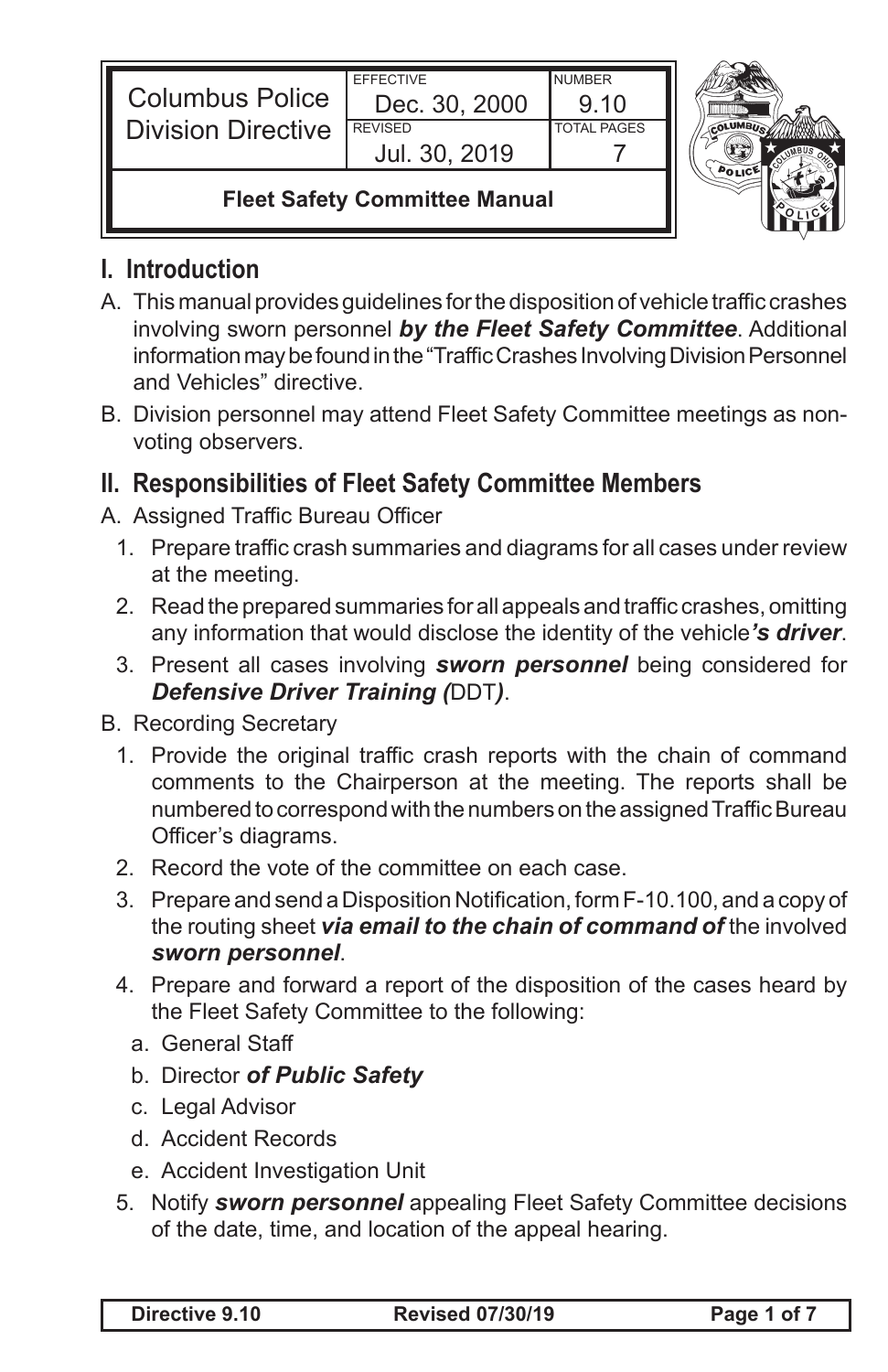| <b>Columbus Police</b><br><b>Division Directive</b> | <b>FFFFCTIVE</b><br>Dec. 30, 2000<br><b>REVISED</b><br>Jul. 30, 2019 | <b>NUMBER</b><br>9.10<br><b>TOTAL PAGES</b> |  |
|-----------------------------------------------------|----------------------------------------------------------------------|---------------------------------------------|--|
| <b>Fleet Safety Committee Manual</b>                |                                                                      |                                             |  |

### **I. Introduction**

- A. This manual provides quidelines for the disposition of vehicle traffic crashes involving sworn personnel *by the Fleet Safety Committee*. Additional information may be found in the "Traffic Crashes Involving Division Personnel and Vehicles" directive.
- B. Division personnel may attend Fleet Safety Committee meetings as nonvoting observers.

## **II. Responsibilities of Fleet Safety Committee Members**

- A. Assigned Traffic Bureau Officer
	- 1. Prepare traffic crash summaries and diagrams for all cases under review at the meeting.
	- 2. Read the prepared summaries for all appeals and traffic crashes, omitting any information that would disclose the identity of the vehicle*'s driver*.
	- 3. Present all cases involving *sworn personnel* being considered for *Defensive Driver Training (*DDT*)*.

**B.** Recording Secretary

- 1. Provide the original traffic crash reports with the chain of command comments to the Chairperson at the meeting. The reports shall be numbered to correspond with the numbers on the assigned Traffic Bureau Officer's diagrams.
- 2. Record the vote of the committee on each case.
- 3. Prepare and send a Disposition Notification, form F-10.100, and a copy of the routing sheet *via email to the chain of command of* the involved *sworn personnel*.
- 4. Prepare and forward a report of the disposition of the cases heard by the Fleet Safety Committee to the following:
	- a. General Staff
	- b. Director *of Public Safety*
	- c. Legal Advisor
	- d. Accident Records
	- e. Accident Investigation Unit
- 5. Notify **sworn personnel** appealing Fleet Safety Committee decisions of the date, time, and location of the appeal hearing.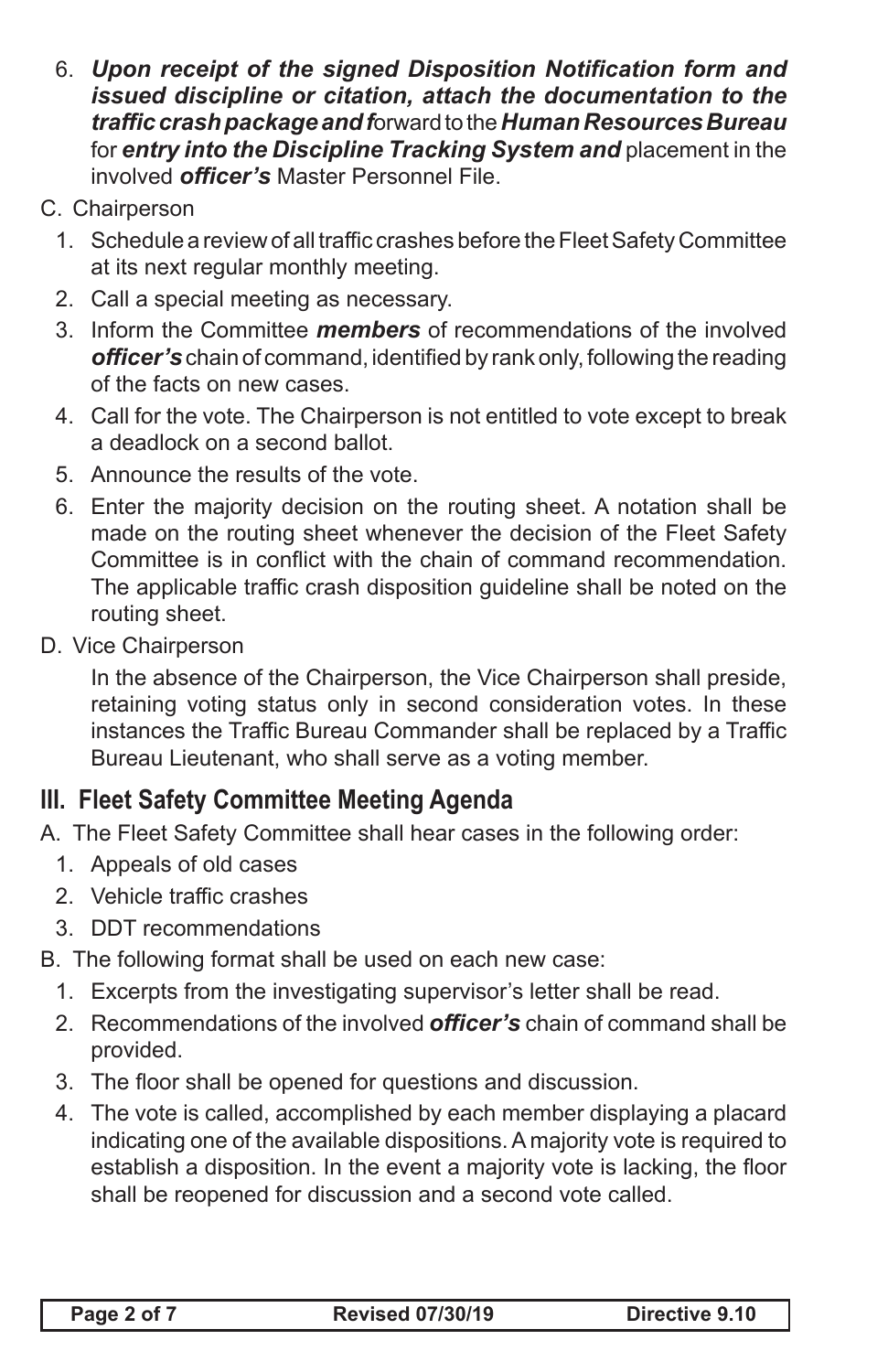- 6. *Upon receipt of the signed Disposition Notification form and issued discipline or citation, attach the documentation to the traffic crash package and f*orward to the *Human Resources Bureau* for *entry into the Discipline Tracking System and* placement in the involved *officer's* Master Personnel File.
- C. Chairperson
	- 1. Schedule a review of all traffic crashes before the Fleet Safety Committee at its next regular monthly meeting.
	- 2. Call a special meeting as necessary.
	- 3. Inform the Committee *members* of recommendations of the involved *officer's*chain of command, identified by rank only, following the reading of the facts on new cases.
	- 4. Call for the vote. The Chairperson is not entitled to vote except to break a deadlock on a second ballot.
	- 5. Announce the results of the vote.
	- 6. Enter the majority decision on the routing sheet. A notation shall be made on the routing sheet whenever the decision of the Fleet Safety Committee is in conflict with the chain of command recommendation. The applicable traffic crash disposition guideline shall be noted on the routing sheet.
- D. Vice Chairperson

 In the absence of the Chairperson, the Vice Chairperson shall preside, retaining voting status only in second consideration votes. In these instances the Traffic Bureau Commander shall be replaced by a Traffic Bureau Lieutenant, who shall serve as a voting member.

## **III. Fleet Safety Committee Meeting Agenda**

- A. The Fleet Safety Committee shall hear cases in the following order:
	- 1. Appeals of old cases
	- 2. Vehicle traffic crashes
	- 3. DDT recommendations
- B. The following format shall be used on each new case:
	- 1. Excerpts from the investigating supervisor's letter shall be read.
	- 2. Recommendations of the involved *officer's* chain of command shall be provided.
	- 3. The floor shall be opened for questions and discussion.
	- 4. The vote is called, accomplished by each member displaying a placard indicating one of the available dispositions.A majority vote is required to establish a disposition. In the event a majority vote is lacking, the floor shall be reopened for discussion and a second vote called.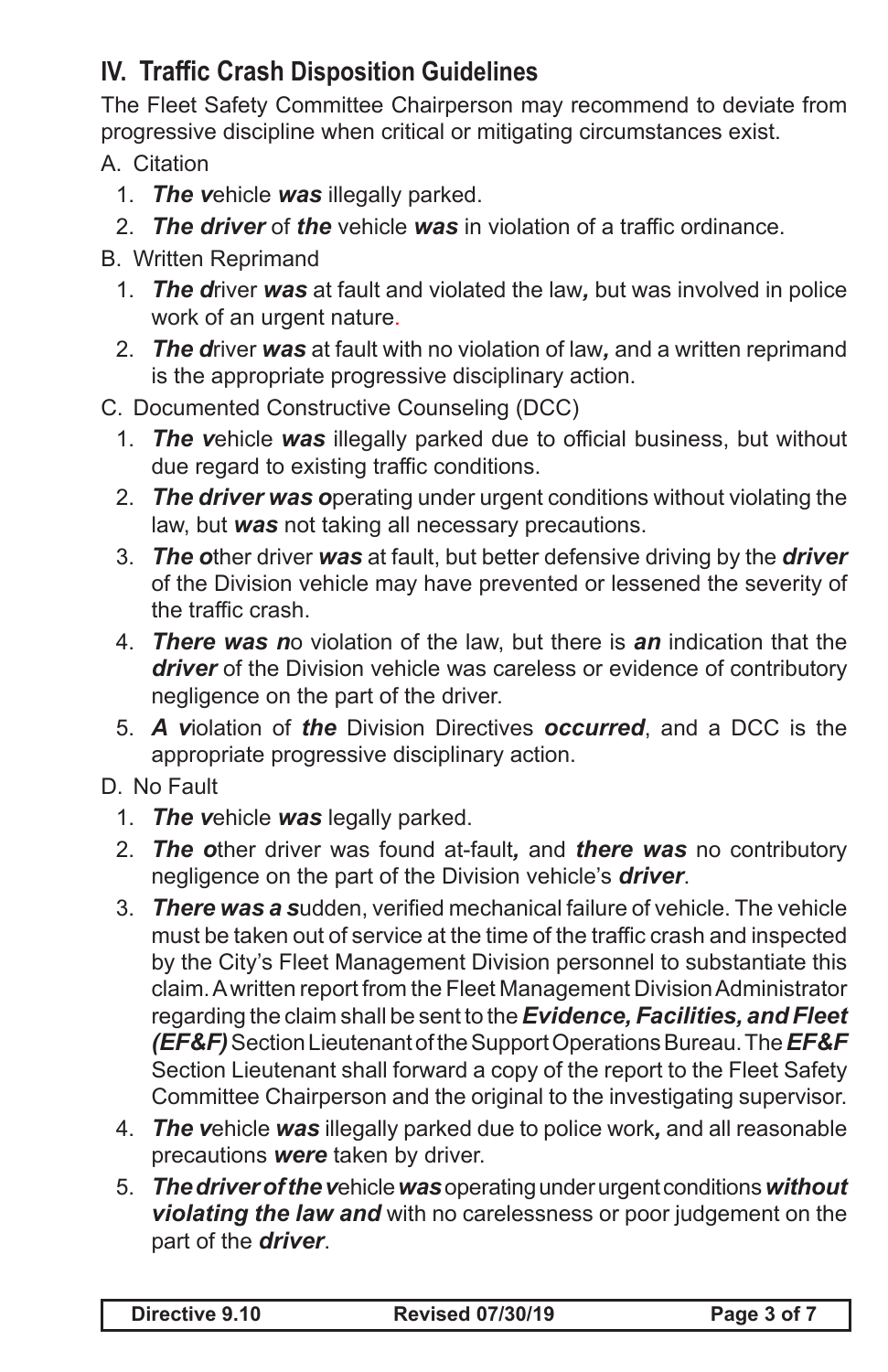# **IV. Traffic Crash Disposition Guidelines**

The Fleet Safety Committee Chairperson may recommend to deviate from progressive discipline when critical or mitigating circumstances exist.

A. Citation

- 1. *The v*ehicle *was* illegally parked.
- 2. *The driver* of *the* vehicle *was* in violation of a traffic ordinance.

#### B. Written Reprimand

- 1. *The d*river *was* at fault and violated the law*,* but was involved in police work of an urgent nature.
- 2. *The d*river *was* at fault with no violation of law*,* and a written reprimand is the appropriate progressive disciplinary action.

#### C. Documented Constructive Counseling (DCC)

- 1. *The v*ehicle *was* illegally parked due to official business, but without due regard to existing traffic conditions.
- 2. *The driver was o*perating under urgent conditions without violating the law, but *was* not taking all necessary precautions.
- 3. *The o*ther driver *was* at fault, but better defensive driving by the *driver* of the Division vehicle may have prevented or lessened the severity of the traffic crash.
- 4. *There was n*o violation of the law, but there is *an* indication that the *driver* of the Division vehicle was careless or evidence of contributory negligence on the part of the driver.
- 5. *A v*iolation of *the* Division Directives *occurred*, and a DCC is the appropriate progressive disciplinary action.

### D. No Fault

- 1. *The v*ehicle *was* legally parked.
- 2. *The o*ther driver was found at-fault*,* and *there was* no contributory negligence on the part of the Division vehicle's *driver*.
- 3. *There was a s*udden, verified mechanical failure of vehicle. The vehicle must be taken out of service at the time of the traffic crash and inspected by the City's Fleet Management Division personnel to substantiate this claim.Awritten report from the Fleet Management DivisionAdministrator regarding the claim shall be sent to the *Evidence, Facilities, and Fleet (EF&F)*SectionLieutenantoftheSupportOperationsBureau.The*EF&F* Section Lieutenant shall forward a copy of the report to the Fleet Safety Committee Chairperson and the original to the investigating supervisor.
- 4. *The v*ehicle *was* illegally parked due to police work*,* and all reasonable precautions *were* taken by driver.
- 5. *The driver of the v*ehicle *was* operating under urgent conditions *without violating the law and* with no carelessness or poor judgement on the part of the *driver*.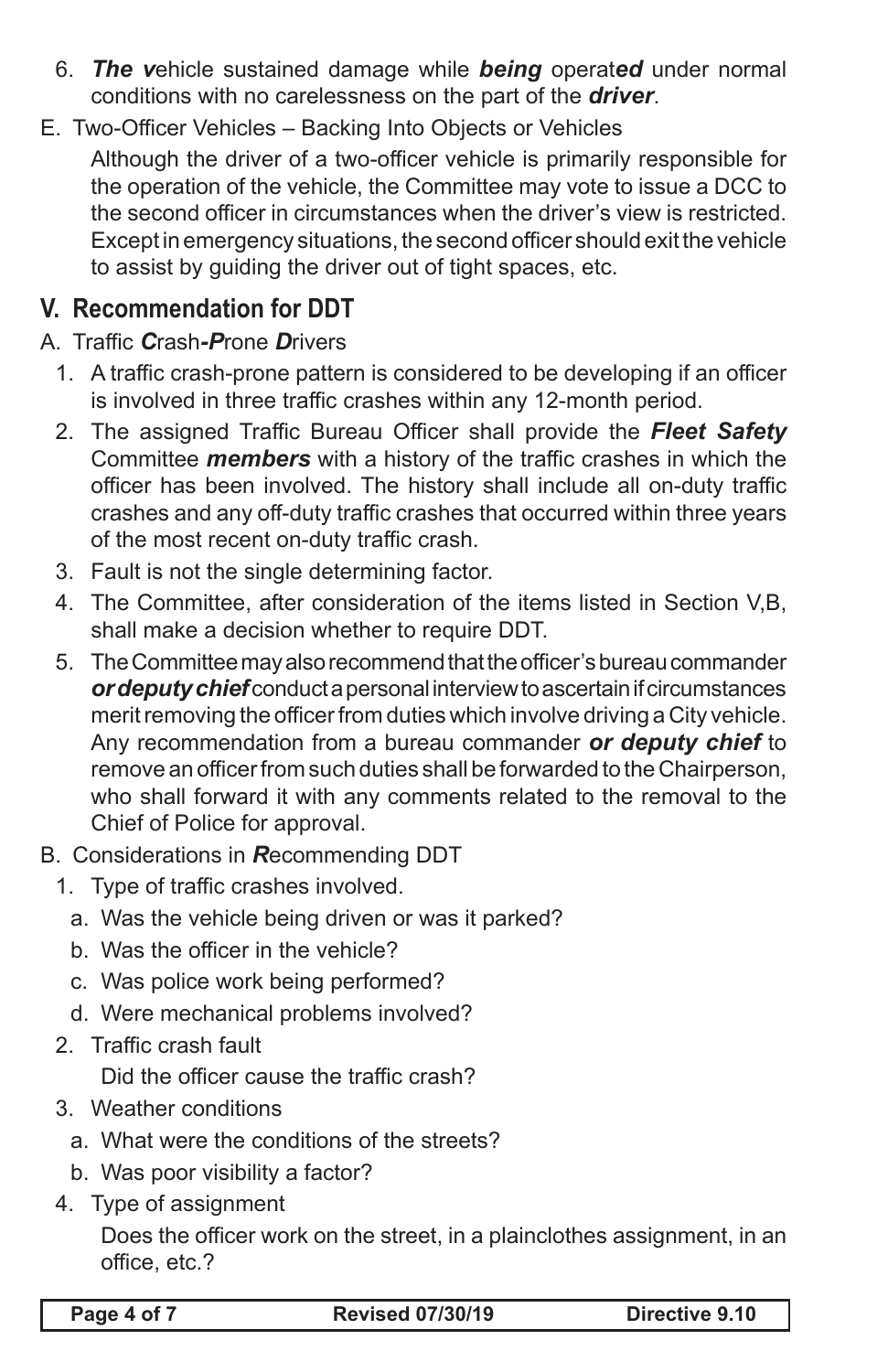- 6. *The v*ehicle sustained damage while *being* operat*ed* under normal conditions with no carelessness on the part of the *driver*.
- E. Two-Officer Vehicles Backing Into Objects or Vehicles Although the driver of a two-officer vehicle is primarily responsible for the operation of the vehicle, the Committee may vote to issue a DCC to the second officer in circumstances when the driver's view is restricted. Except in emergency situations, the second officer should exit the vehicle to assist by guiding the driver out of tight spaces, etc.

# **V. Recommendation for DDT**

- A. Traffic *C*rash*-P*rone *D*rivers
	- 1. A traffic crash-prone pattern is considered to be developing if an officer is involved in three traffic crashes within any 12-month period.
	- 2. The assigned Traffic Bureau Officer shall provide the **Fleet Safety** Committee *members* with a history of the traffic crashes in which the officer has been involved. The history shall include all on-duty traffic crashes and any off-duty traffic crashes that occurred within three years of the most recent on-duty traffic crash.
	- 3. Fault is not the single determining factor.
	- 4. The Committee, after consideration of the items listed in Section V,B, shall make a decision whether to require DDT.
	- 5. The Committee may also recommend that the officer's bureau commander *or deputy chief* conduct a personal interview to ascertain if circumstances merit removing the officer from duties which involve driving a City vehicle. Any recommendation from a bureau commander *or deputy chief* to remove an officer from such duties shall be forwarded to the Chairperson, who shall forward it with any comments related to the removal to the Chief of Police for approval.
- B. Considerations in *R*ecommending DDT
	- 1. Type of traffic crashes involved.
		- a. Was the vehicle being driven or was it parked?
		- b. Was the officer in the vehicle?
		- c. Was police work being performed?
		- d. Were mechanical problems involved?
	- 2. Traffic crash fault

 Did the officer cause the traffic crash?

- 3. Weather conditions
	- a. What were the conditions of the streets?
	- b. Was poor visibility a factor?
- 4. Type of assignment

 Does the officer work on the street, in a plainclothes assignment, in an office, etc.?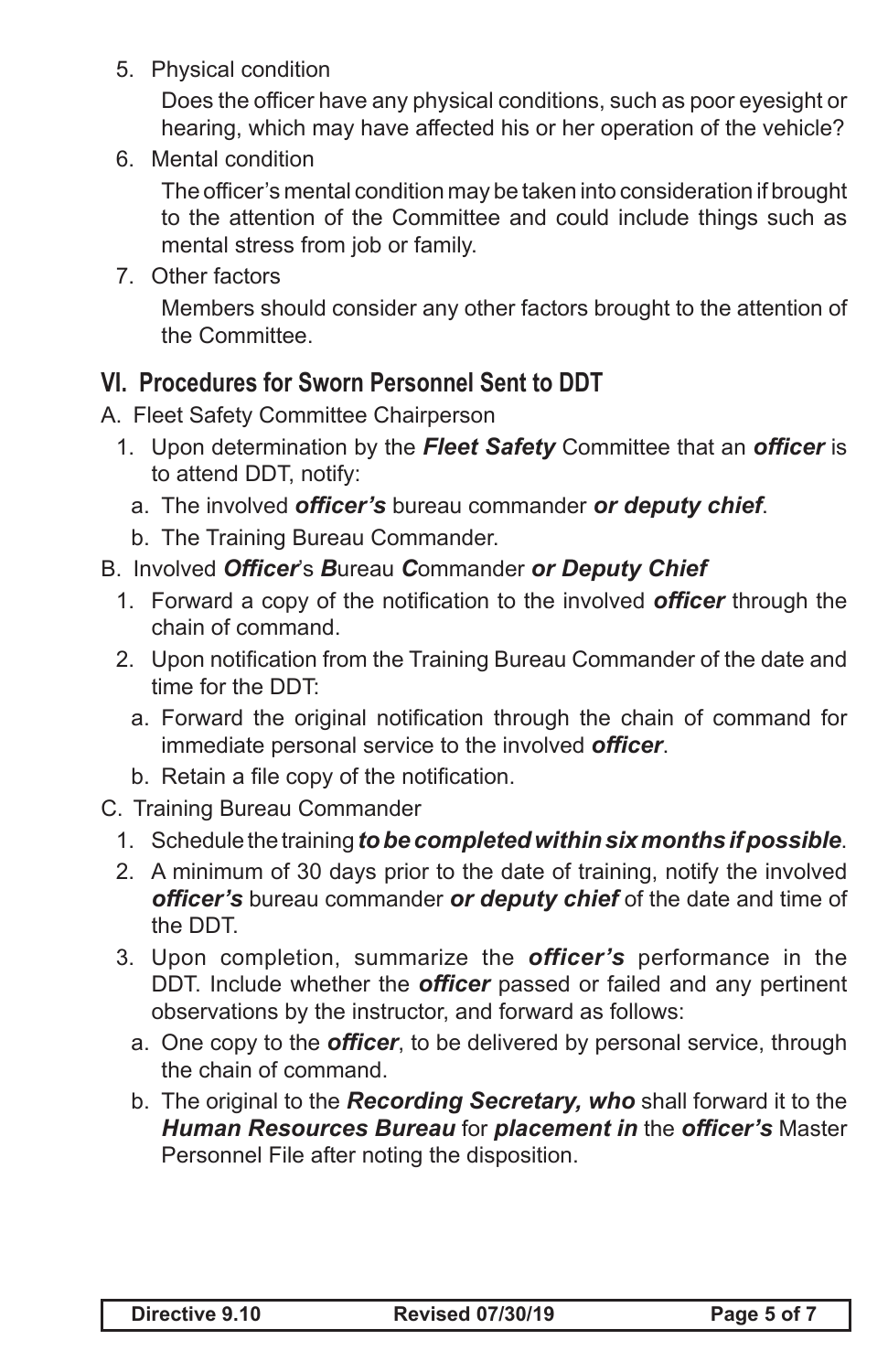5. Physical condition

 Does the officer have any physical conditions, such as poor eyesight or hearing, which may have affected his or her operation of the vehicle?

6. Mental condition

 The officer's mental condition may be taken into consideration if brought to the attention of the Committee and could include things such as mental stress from job or family.

7. Other factors

 Members should consider any other factors brought to the attention of the Committee.

### **VI. Procedures for Sworn Personnel Sent to DDT**

- A. Fleet Safety Committee Chairperson
	- 1. Upon determination by the *Fleet Safety* Committee that an *officer* is to attend DDT, notify:
		- a. The involved *officer's* bureau commander *or deputy chief*.
		- b. The Training Bureau Commander.

#### B. Involved *Officer*'s *B*ureau *C*ommander *or Deputy Chief*

- 1. Forward a copy of the notification to the involved *officer* through the chain of command.
- 2. Upon notification from the Training Bureau Commander of the date and time for the DDT:
	- a. Forward the original notification through the chain of command for immediate personal service to the involved *officer*.
	- b. Retain a file copy of the notification.
- C. Training Bureau Commander
	- 1. Schedule the training to be completed within six months if possible.
	- 2. A minimum of 30 days prior to the date of training, notify the involved *officer's* bureau commander *or deputy chief* of the date and time of the DDT.
	- 3. Upon completion, summarize the *officer's* performance in the DDT. Include whether the *officer* passed or failed and any pertinent observations by the instructor, and forward as follows:
		- a. One copy to the *officer*, to be delivered by personal service, through the chain of command.
		- b. The original to the *Recording Secretary, who* shall forward it to the *Human Resources Bureau* for *placement in* the *officer's* Master Personnel File after noting the disposition.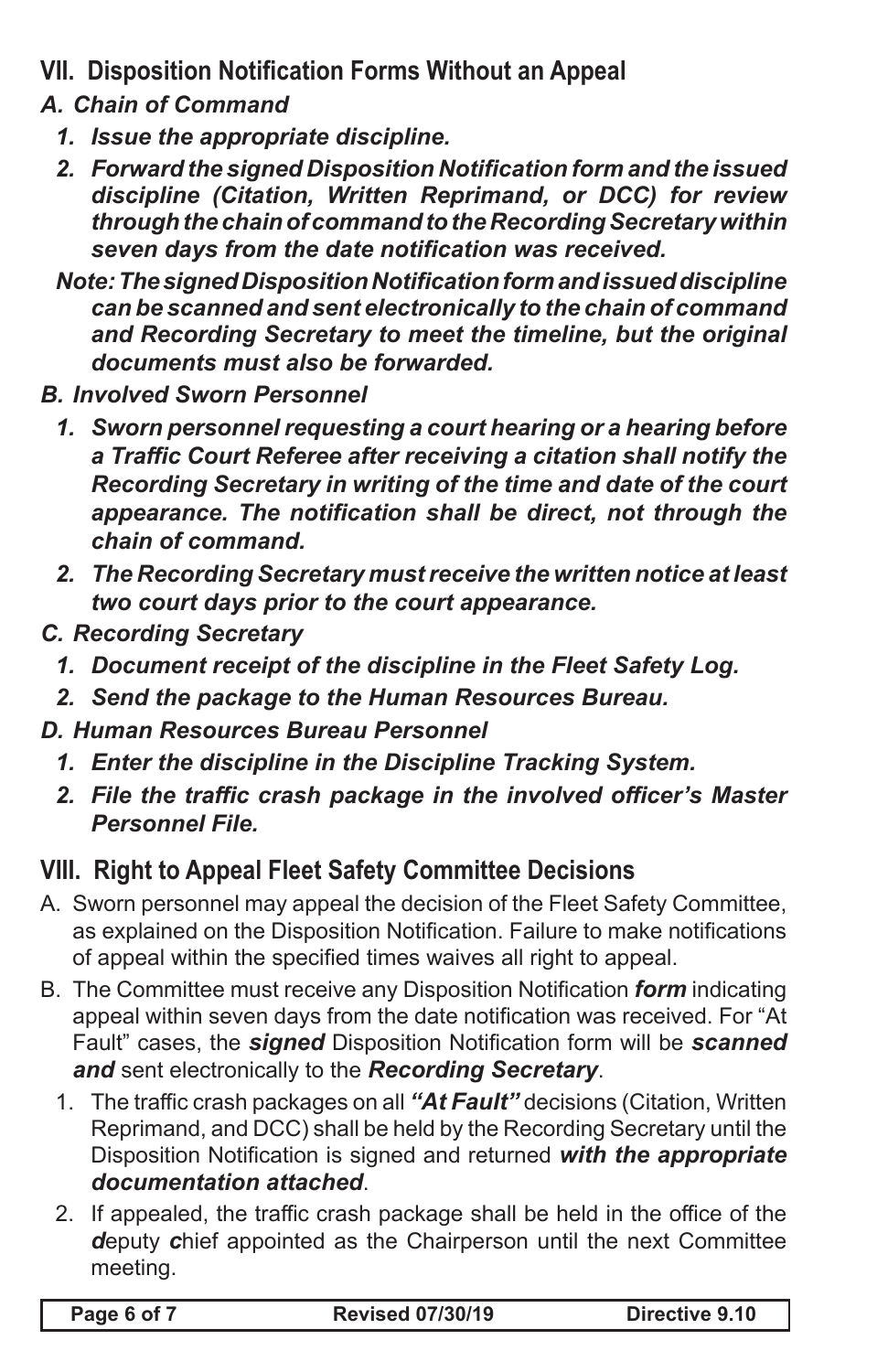- **VII. Disposition Notification Forms Without an Appeal**
- *A. Chain of Command*
	- *1. Issue the appropriate discipline.*
	- *2. Forward the signed Disposition Notification form and the issued discipline (Citation, Written Reprimand, or DCC) for review through the chain of command to the Recording Secretary within seven days from the date notification was received.*
	- *Note: The signed Disposition Notification form and issued discipline can be scanned and sent electronically to the chain of command and Recording Secretary to meet the timeline, but the original documents must also be forwarded.*
- *B. Involved Sworn Personnel*
	- *1. Sworn personnel requesting a court hearing or a hearing before a Traffic Court Referee after receiving a citation shall notify the Recording Secretary in writing of the time and date of the court appearance. The notification shall be direct, not through the chain of command.*
	- *2. The Recording Secretary must receive the written notice at least two court days prior to the court appearance.*
- *C. Recording Secretary*
	- *1. Document receipt of the discipline in the Fleet Safety Log.*
	- *2. Send the package to the Human Resources Bureau.*
- *D. Human Resources Bureau Personnel*
	- *1. Enter the discipline in the Discipline Tracking System.*
	- *2. File the traffic crash package in the involved officer's Master Personnel File.*

# **VIII. Right to Appeal Fleet Safety Committee Decisions**

- A. Sworn personnel may appeal the decision of the Fleet Safety Committee, as explained on the Disposition Notification. Failure to make notifications of appeal within the specified times waives all right to appeal.
- B. The Committee must receive any Disposition Notification *form* indicating appeal within seven days from the date notification was received. For "At Fault" cases, the *signed* Disposition Notification form will be *scanned and* sent electronically to the *Recording Secretary*.
	- 1. The traffic crash packages on all *"At Fault"* decisions (Citation, Written Reprimand, and DCC) shall be held by the Recording Secretary until the Disposition Notification is signed and returned *with the appropriate documentation attached*.
	- 2. If appealed, the traffic crash package shall be held in the office of the *d*eputy *c*hief appointed as the Chairperson until the next Committee meeting.